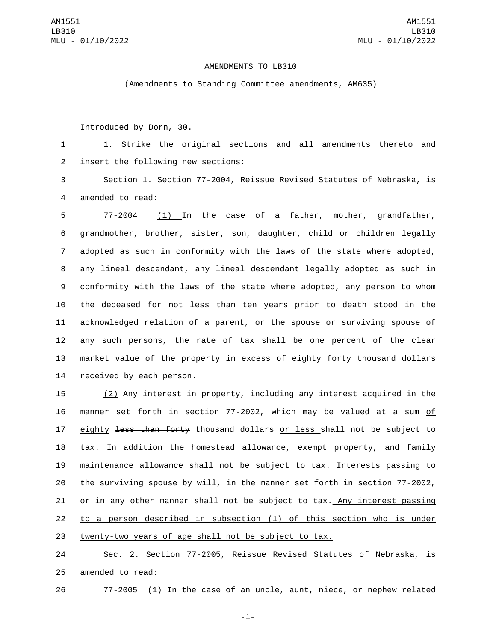## AMENDMENTS TO LB310

(Amendments to Standing Committee amendments, AM635)

Introduced by Dorn, 30.

1 1. Strike the original sections and all amendments thereto and 2 insert the following new sections:

3 Section 1. Section 77-2004, Reissue Revised Statutes of Nebraska, is 4 amended to read:

 77-2004 (1) In the case of a father, mother, grandfather, grandmother, brother, sister, son, daughter, child or children legally adopted as such in conformity with the laws of the state where adopted, any lineal descendant, any lineal descendant legally adopted as such in conformity with the laws of the state where adopted, any person to whom the deceased for not less than ten years prior to death stood in the acknowledged relation of a parent, or the spouse or surviving spouse of any such persons, the rate of tax shall be one percent of the clear 13 market value of the property in excess of eighty forty thousand dollars 14 received by each person.

 (2) Any interest in property, including any interest acquired in the manner set forth in section 77-2002, which may be valued at a sum of 17 eighty less than forty thousand dollars or less shall not be subject to tax. In addition the homestead allowance, exempt property, and family maintenance allowance shall not be subject to tax. Interests passing to the surviving spouse by will, in the manner set forth in section 77-2002, 21 or in any other manner shall not be subject to tax. Any interest passing to a person described in subsection (1) of this section who is under twenty-two years of age shall not be subject to tax.

24 Sec. 2. Section 77-2005, Reissue Revised Statutes of Nebraska, is 25 amended to read:

26 77-2005 (1) In the case of an uncle, aunt, niece, or nephew related

-1-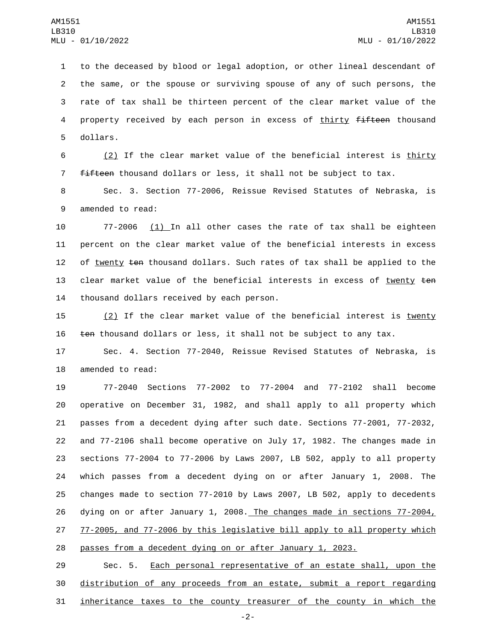1 to the deceased by blood or legal adoption, or other lineal descendant of 2 the same, or the spouse or surviving spouse of any of such persons, the 3 rate of tax shall be thirteen percent of the clear market value of the 4 property received by each person in excess of thirty fifteen thousand 5 dollars.

6 (2) If the clear market value of the beneficial interest is thirty 7 fifteen thousand dollars or less, it shall not be subject to tax.

8 Sec. 3. Section 77-2006, Reissue Revised Statutes of Nebraska, is 9 amended to read:

10 77-2006 (1) In all other cases the rate of tax shall be eighteen 11 percent on the clear market value of the beneficial interests in excess 12 of twenty ten thousand dollars. Such rates of tax shall be applied to the 13 clear market value of the beneficial interests in excess of twenty ten 14 thousand dollars received by each person.

15 (2) If the clear market value of the beneficial interest is twenty 16 ten thousand dollars or less, it shall not be subject to any tax.

17 Sec. 4. Section 77-2040, Reissue Revised Statutes of Nebraska, is 18 amended to read:

 77-2040 Sections 77-2002 to 77-2004 and 77-2102 shall become operative on December 31, 1982, and shall apply to all property which passes from a decedent dying after such date. Sections 77-2001, 77-2032, and 77-2106 shall become operative on July 17, 1982. The changes made in sections 77-2004 to 77-2006 by Laws 2007, LB 502, apply to all property which passes from a decedent dying on or after January 1, 2008. The changes made to section 77-2010 by Laws 2007, LB 502, apply to decedents 26 dying on or after January 1, 2008. The changes made in sections 77-2004, 77-2005, and 77-2006 by this legislative bill apply to all property which passes from a decedent dying on or after January 1, 2023.

29 Sec. 5. Each personal representative of an estate shall, upon the 30 distribution of any proceeds from an estate, submit a report regarding 31 inheritance taxes to the county treasurer of the county in which the

-2-